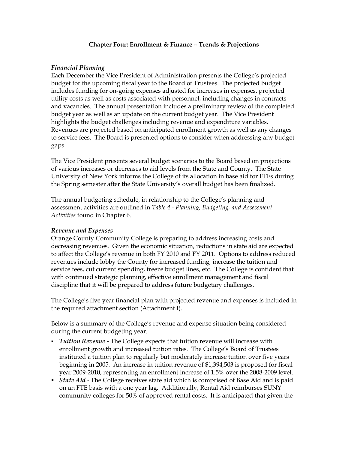#### **Chapter Four: Enrollment & Finance – Trends & Projections**

### *Financial Planning*

Each December the Vice President of Administration presents the College's projected budget for the upcoming fiscal year to the Board of Trustees. The projected budget includes funding for on-going expenses adjusted for increases in expenses, projected utility costs as well as costs associated with personnel, including changes in contracts and vacancies. The annual presentation includes a preliminary review of the completed budget year as well as an update on the current budget year. The Vice President highlights the budget challenges including revenue and expenditure variables. Revenues are projected based on anticipated enrollment growth as well as any changes to service fees. The Board is presented options to consider when addressing any budget gaps.

The Vice President presents several budget scenarios to the Board based on projections of various increases or decreases to aid levels from the State and County. The State University of New York informs the College of its allocation in base aid for FTEs during the Spring semester after the State University's overall budget has been finalized.

The annual budgeting schedule, in relationship to the College's planning and assessment activities are outlined in *Table 4 Planning, Budgeting, and Assessment Activities* found in Chapter 6.

## *Revenue and Expenses*

Orange County Community College is preparing to address increasing costs and decreasing revenues. Given the economic situation, reductions in state aid are expected to affect the College's revenue in both FY 2010 and FY 2011. Options to address reduced revenues include lobby the County for increased funding, increase the tuition and service fees, cut current spending, freeze budget lines, etc. The College is confident that with continued strategic planning, effective enrollment management and fiscal discipline that it will be prepared to address future budgetary challenges.

The College's five year financial plan with projected revenue and expenses is included in the required attachment section (Attachment I).

Below is a summary of the College's revenue and expense situation being considered during the current budgeting year.

- ß *Tuition Revenue* The College expects that tuition revenue will increase with enrollment growth and increased tuition rates. The College's Board of Trustees instituted a tuition plan to regularly but moderately increase tuition over five years beginning in 2005. An increase in tuition revenue of \$1,394,503 is proposed for fiscal year 2009-2010, representing an enrollment increase of 1.5% over the 2008-2009 level.
- **State Aid** The College receives state aid which is comprised of Base Aid and is paid on an FTE basis with a one year lag. Additionally, Rental Aid reimburses SUNY community colleges for 50% of approved rental costs. It is anticipated that given the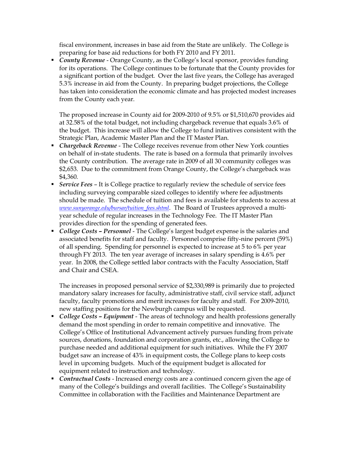fiscal environment, increases in base aid from the State are unlikely. The College is preparing for base aid reductions for both FY 2010 and FY 2011.

**• County Revenue** - Orange County, as the College's local sponsor, provides funding for its operations. The College continues to be fortunate that the County provides for a significant portion of the budget. Over the last five years, the College has averaged 5.3% increase in aid from the County. In preparing budget projections, the College has taken into consideration the economic climate and has projected modest increases from the County each year.

The proposed increase in County aid for 20092010 of 9.5% or \$1,510,670 provides aid at 32.58% of the total budget, not including chargeback revenue that equals 3.6% of the budget. This increase will allow the College to fund initiatives consistent with the Strategic Plan, Academic Master Plan and the IT Master Plan.

- **Chargeback Revenue** The College receives revenue from other New York counties on behalf of in-state students. The rate is based on a formula that primarily involves the County contribution. The average rate in 2009 of all 30 community colleges was \$2,653. Due to the commitment from Orange County, the College's chargeback was \$4,360.
- ß *Service Fees* It is College practice to regularly review the schedule of service fees including surveying comparable sized colleges to identify where fee adjustments should be made. The schedule of tuition and fees is available for students to access at *www.sunyorange.edu/bursar/tuition\_fees.shtml*. The Board of Trustees approved a multi year schedule of regular increases in the Technology Fee. The IT Master Plan provides direction for the spending of generated fees.
- **College Costs Personnel** The College's largest budget expense is the salaries and associated benefits for staff and faculty. Personnel comprise fifty-nine percent (59%) of all spending. Spending for personnel is expected to increase at 5 to 6% per year through FY 2013. The ten year average of increases in salary spending is 4.6% per year. In 2008, the College settled labor contracts with the Faculty Association, Staff and Chair and CSEA.

The increases in proposed personal service of \$2,330,989 is primarily due to projected mandatory salary increases for faculty, administrative staff, civil service staff, adjunct faculty, faculty promotions and merit increases for faculty and staff. For 2009-2010, new staffing positions for the Newburgh campus will be requested.

- **College Costs Equipment** The areas of technology and health professions generally demand the most spending in order to remain competitive and innovative. The College's Office of Institutional Advancement actively pursues funding from private sources, donations, foundation and corporation grants, etc., allowing the College to purchase needed and additional equipment for such initiatives. While the FY 2007 budget saw an increase of 43% in equipment costs, the College plans to keep costs level in upcoming budgets. Much of the equipment budget is allocated for equipment related to instruction and technology.
- Contractual Costs Increased energy costs are a continued concern given the age of many of the College's buildings and overall facilities. The College's Sustainability Committee in collaboration with the Facilities and Maintenance Department are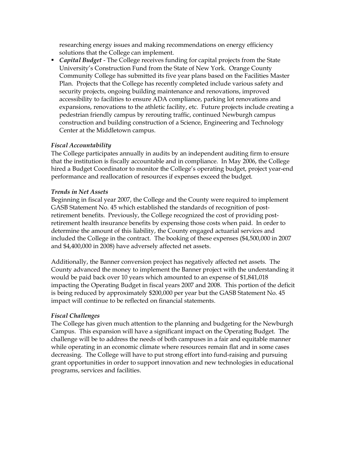researching energy issues and making recommendations on energy efficiency solutions that the College can implement.

**• Capital Budget** - The College receives funding for capital projects from the State University's Construction Fund from the State of New York. Orange County Community College has submitted its five year plans based on the Facilities Master Plan. Projects that the College has recently completed include various safety and security projects, ongoing building maintenance and renovations, improved accessibility to facilities to ensure ADA compliance, parking lot renovations and expansions, renovations to the athletic facility, etc. Future projects include creating a pedestrian friendly campus by rerouting traffic, continued Newburgh campus construction and building construction of a Science, Engineering and Technology Center at the Middletown campus.

# *Fiscal Accountability*

The College participates annually in audits by an independent auditing firm to ensure that the institution is fiscally accountable and in compliance. In May 2006, the College hired a Budget Coordinator to monitor the College's operating budget, project year-end performance and reallocation of resources if expenses exceed the budget.

# *Trends in Net Assets*

Beginning in fiscal year 2007, the College and the County were required to implement GASB Statement No. 45 which established the standards of recognition of postretirement benefits. Previously, the College recognized the cost of providing postretirement health insurance benefits by expensing those costs when paid. In order to determine the amount of this liability, the County engaged actuarial services and included the College in the contract. The booking of these expenses (\$4,500,000 in 2007 and \$4,400,000 in 2008) have adversely affected net assets.

Additionally, the Banner conversion project has negatively affected net assets. The County advanced the money to implement the Banner project with the understanding it would be paid back over 10 years which amounted to an expense of \$1,841,018 impacting the Operating Budget in fiscal years 2007 and 2008. This portion of the deficit is being reduced by approximately \$200,000 per year but the GASB Statement No. 45 impact will continue to be reflected on financial statements.

# *Fiscal Challenges*

The College has given much attention to the planning and budgeting for the Newburgh Campus. This expansion will have a significant impact on the Operating Budget. The challenge will be to address the needs of both campuses in a fair and equitable manner while operating in an economic climate where resources remain flat and in some cases decreasing. The College will have to put strong effort into fund-raising and pursuing grant opportunities in order to support innovation and new technologies in educational programs, services and facilities.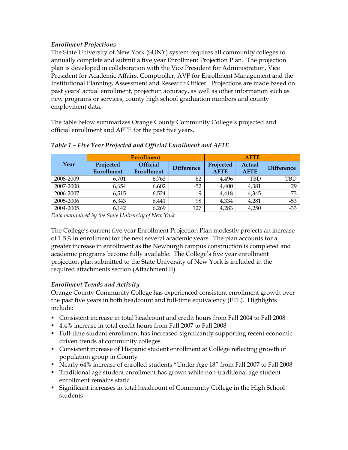# *Enrollment Projections*

The State University of New York (SUNY) system requires all community colleges to annually complete and submit a five year Enrollment Projection Plan. The projection plan is developed in collaboration with the Vice President for Administration, Vice President for Academic Affairs, Comptroller, AVP for Enrollment Management and the Institutional Planning, Assessment and Research Officer. Projections are made based on past years' actual enrollment, projection accuracy, as well as other information such as new programs or services, county high school graduation numbers and county employment data.

The table below summarizes Orange County Community College's projected and official enrollment and AFTE for the past five years.

|           | <b>Enrollment</b>              |                                      |                   | <b>AFTE</b>              |                       |                   |
|-----------|--------------------------------|--------------------------------------|-------------------|--------------------------|-----------------------|-------------------|
| Year      | Projected<br><b>Enrollment</b> | <b>Official</b><br><b>Enrollment</b> | <b>Difference</b> | Projected<br><b>AFTE</b> | Actual<br><b>AFTE</b> | <b>Difference</b> |
| 2008-2009 | 6,701                          | 6,763                                | 62                | 4,496                    | TBD                   | <b>TBD</b>        |
| 2007-2008 | 6,654                          | 6,602                                | $-52$             | 4,400                    | 4,381                 | 29                |
| 2006-2007 | 6,515                          | 6,524                                | Q                 | 4,418                    | 4,345                 | $-73$             |
| 2005-2006 | 6,343                          | 6,441                                | 98                | 4,334                    | 4,281                 | $-53$             |
| 2004-2005 | 6,142                          | 6,269                                | 127               | 4,283                    | 4,250                 | $-33$             |

# *Table 1 – Five Year Projected and Official Enrollment and AFTE*

*Data maintained by the State University of New York*

The College's current five year Enrollment Projection Plan modestly projects an increase of 1.5% in enrollment for the next several academic years. The plan accounts for a greater increase in enrollment as the Newburgh campus construction is completed and academic programs become fully available. The College's five year enrollment projection plan submitted to the State University of New York is included in the required attachments section (Attachment II).

# *Enrollment Trends and Activity*

Orange County Community College has experienced consistent enrollment growth over the past five years in both headcount and full-time equivalency (FTE). Highlights include:

- ß Consistent increase in total headcount and credit hours from Fall 2004 to Fall 2008
- 4.4% increase in total credit hours from Fall 2007 to Fall 2008
- **Full-time student enrollment has increased significantly supporting recent economic** driven trends at community colleges
- Consistent increase of Hispanic student enrollment at College reflecting growth of population group in County
- Rearly 64% increase of enrolled students "Under Age 18" from Fall 2007 to Fall 2008
- Traditional age student enrollment has grown while non-traditional age student enrollment remains static
- **Significant increases in total headcount of Community College in the High School** students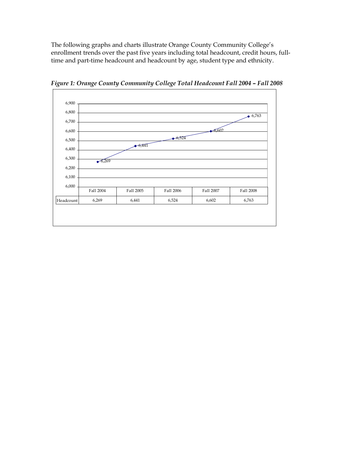The following graphs and charts illustrate Orange County Community College's enrollment trends over the past five years including total headcount, credit hours, fulltime and part-time headcount and headcount by age, student type and ethnicity.



*Figure 1: Orange County Community College Total Headcount Fall 2004 – Fall 2008*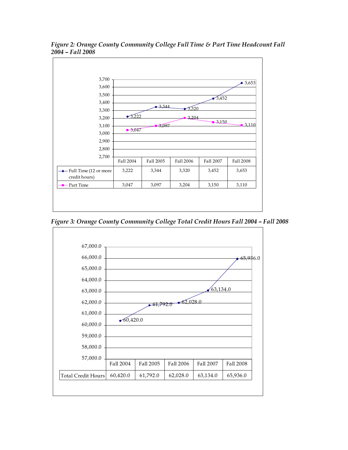

*Figure 2: Orange County Community College Full Time & Part Time Headcount Fall 2004 – Fall 2008*

*Figure 3: Orange County Community College Total Credit Hours Fall 2004 – Fall 2008*

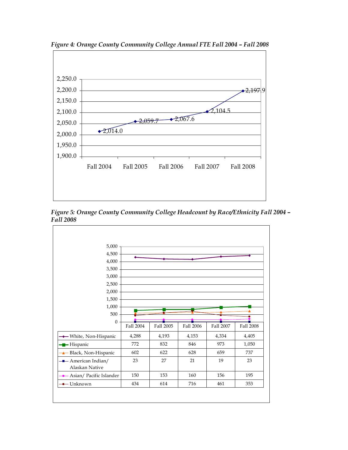

*Figure 4: Orange County Community College Annual FTE Fall 2004 – Fall 2008*

*Figure 5: Orange County Community College Headcount by Race/Ethnicity Fall <sup>2004</sup> – Fall <sup>2008</sup>*

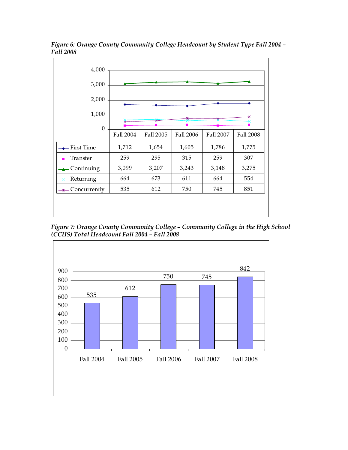

*Figure 6: Orange County Community College Headcount by Student Type Fall <sup>2004</sup> – Fall <sup>2008</sup>*

*Figure 7: Orange County Community College – Community College in the High School (CCHS) Total Headcount Fall 2004 – Fall 2008*